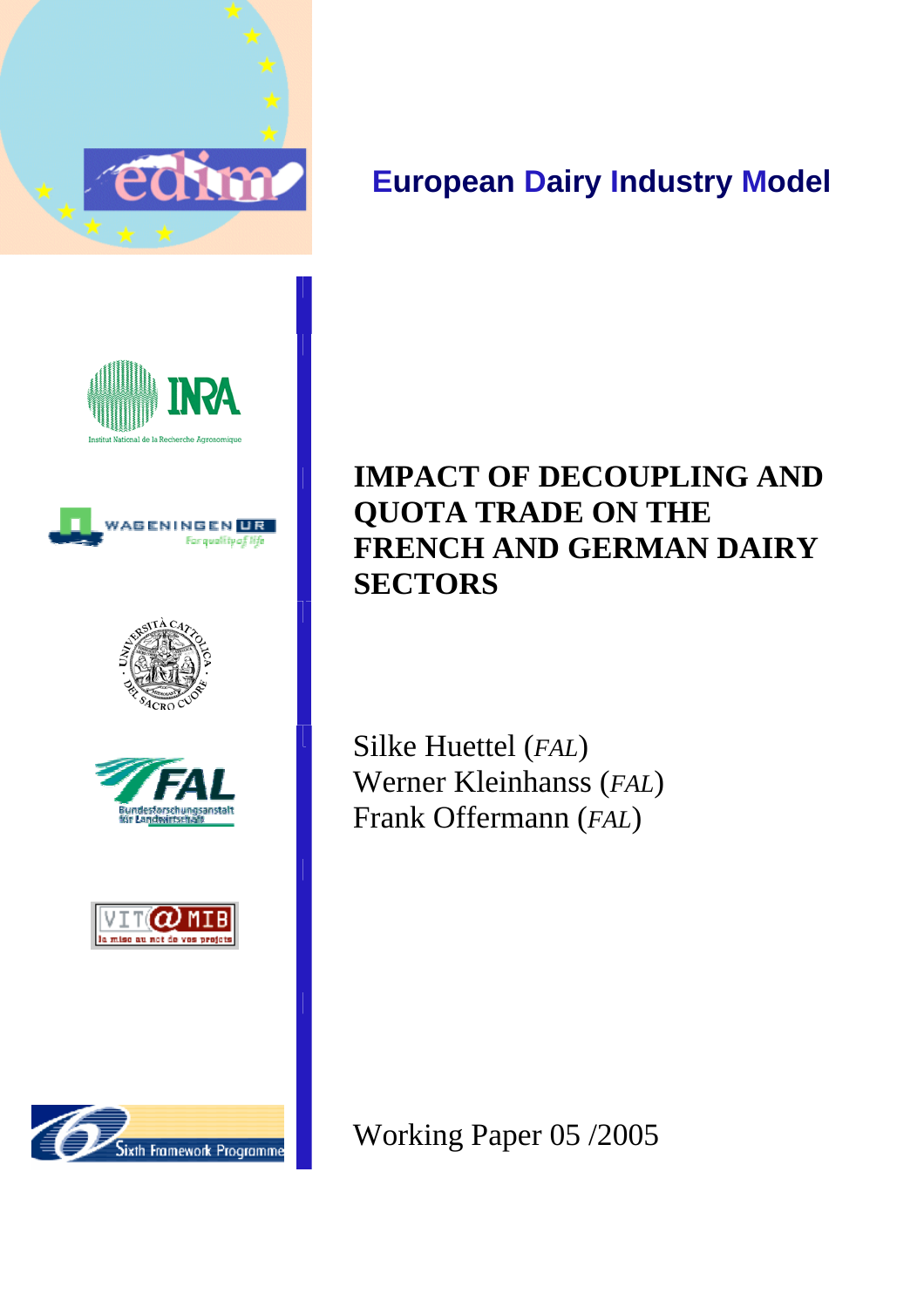

# **European Dairy Industry Model**













# **IMPACT OF DECOUPLING AND QUOTA TRADE ON THE FRENCH AND GERMAN DAIRY SECTORS**

Silke Huettel (*FAL*) Werner Kleinhanss (*FAL*) Frank Offermann (*FAL*)

Working Paper 05 /2005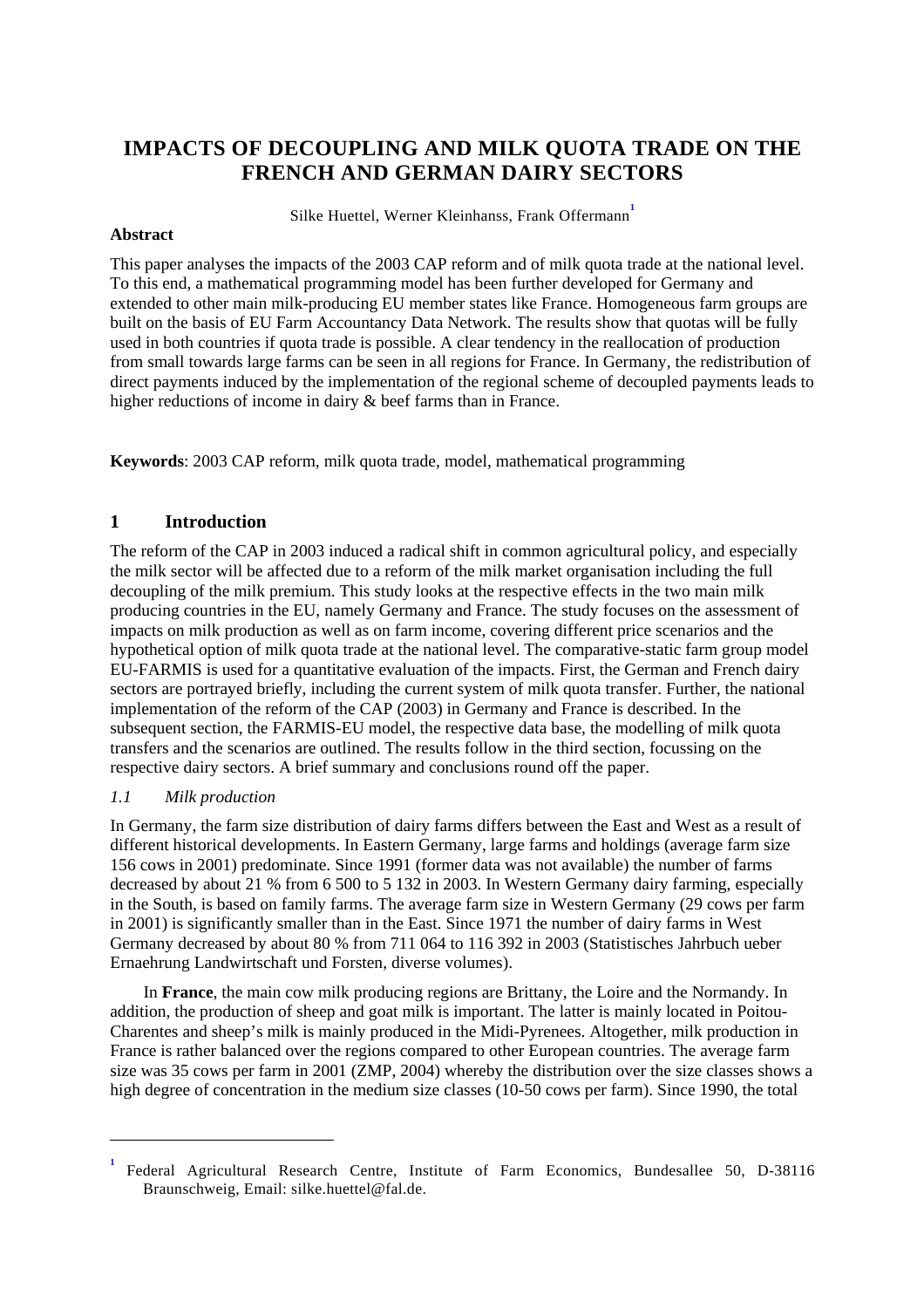# **IMPACTS OF DECOUPLING AND MILK QUOTA TRADE ON THE FRENCH AND GERMAN DAIRY SECTORS**

Silke Huettel, Werner Kleinhanss, Frank Offermann **1**

### **Abstract**

This paper analyses the impacts of the 2003 CAP reform and of milk quota trade at the national level. To this end, a mathematical programming model has been further developed for Germany and extended to other main milk-producing EU member states like France. Homogeneous farm groups are built on the basis of EU Farm Accountancy Data Network. The results show that quotas will be fully used in both countries if quota trade is possible. A clear tendency in the reallocation of production from small towards large farms can be seen in all regions for France. In Germany, the redistribution of direct payments induced by the implementation of the regional scheme of decoupled payments leads to higher reductions of income in dairy & beef farms than in France.

**Keywords**: 2003 CAP reform, milk quota trade, model, mathematical programming

# **1 Introduction**

The reform of the CAP in 2003 induced a radical shift in common agricultural policy, and especially the milk sector will be affected due to a reform of the milk market organisation including the full decoupling of the milk premium. This study looks at the respective effects in the two main milk producing countries in the EU, namely Germany and France. The study focuses on the assessment of impacts on milk production as well as on farm income, covering different price scenarios and the hypothetical option of milk quota trade at the national level. The comparative-static farm group model EU-FARMIS is used for a quantitative evaluation of the impacts. First, the German and French dairy sectors are portrayed briefly, including the current system of milk quota transfer. Further, the national implementation of the reform of the CAP (2003) in Germany and France is described. In the subsequent section, the FARMIS-EU model, the respective data base, the modelling of milk quota transfers and the scenarios are outlined. The results follow in the third section, focussing on the respective dairy sectors. A brief summary and conclusions round off the paper.

# *1.1 Milk production*

 $\overline{a}$ 

In Germany, the farm size distribution of dairy farms differs between the East and West as a result of different historical developments. In Eastern Germany, large farms and holdings (average farm size 156 cows in 2001) predominate. Since 1991 (former data was not available) the number of farms decreased by about 21 % from 6 500 to 5 132 in 2003. In Western Germany dairy farming, especially in the South, is based on family farms. The average farm size in Western Germany (29 cows per farm in 2001) is significantly smaller than in the East. Since 1971 the number of dairy farms in West Germany decreased by about 80 % from 711 064 to 116 392 in 2003 (Statistisches Jahrbuch ueber Ernaehrung Landwirtschaft und Forsten, diverse volumes).

In **France**, the main cow milk producing regions are Brittany, the Loire and the Normandy. In addition, the production of sheep and goat milk is important. The latter is mainly located in Poitou-Charentes and sheep's milk is mainly produced in the Midi-Pyrenees. Altogether, milk production in France is rather balanced over the regions compared to other European countries. The average farm size was 35 cows per farm in 2001 (ZMP, 2004) whereby the distribution over the size classes shows a high degree of concentration in the medium size classes (10-50 cows per farm). Since 1990, the total

**<sup>1</sup>** Federal Agricultural Research Centre, Institute of Farm Economics, Bundesallee 50, D-38116 Braunschweig, Email: silke.huettel@fal.de.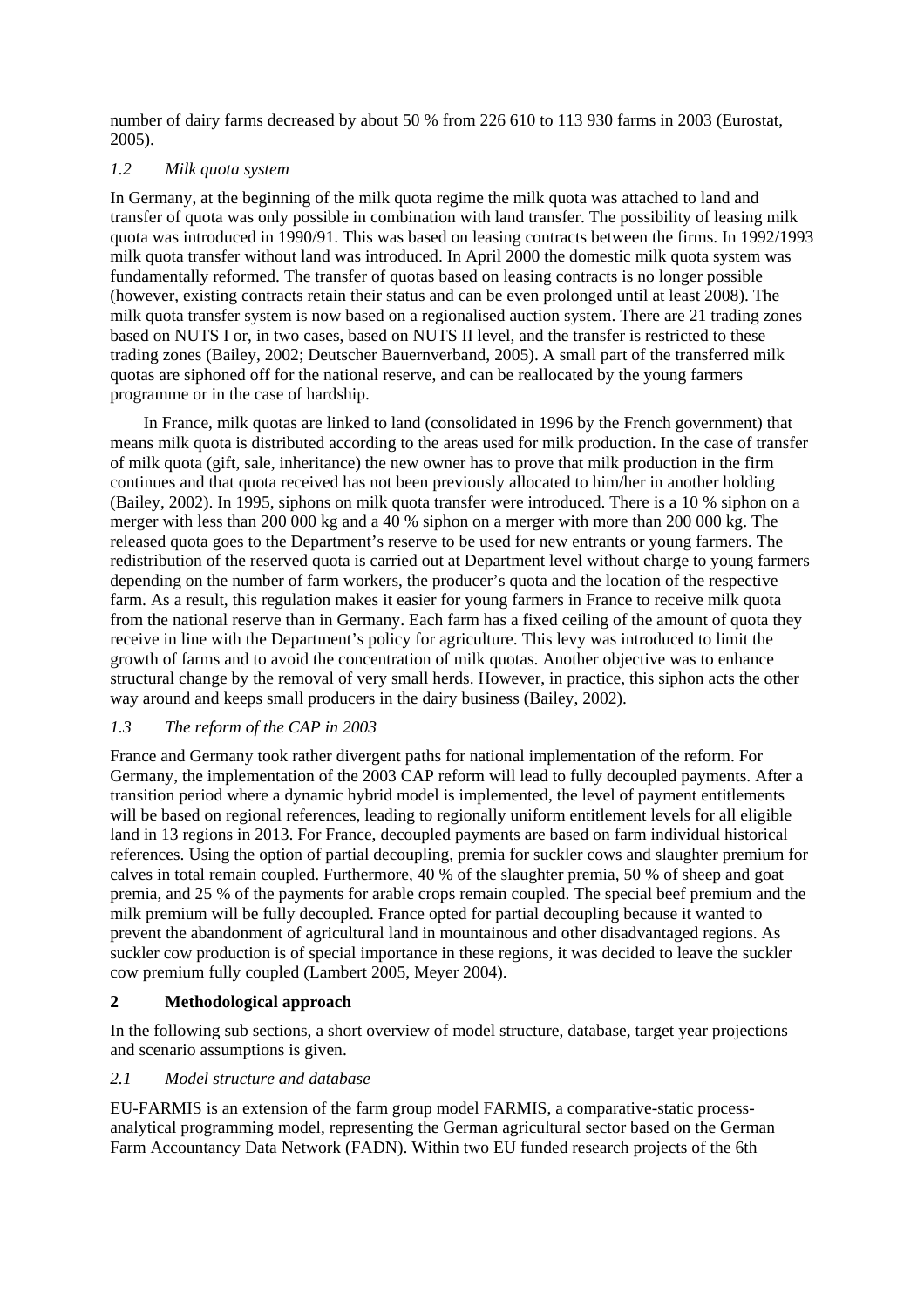number of dairy farms decreased by about 50 % from 226 610 to 113 930 farms in 2003 (Eurostat, 2005).

# *1.2 Milk quota system*

In Germany, at the beginning of the milk quota regime the milk quota was attached to land and transfer of quota was only possible in combination with land transfer. The possibility of leasing milk quota was introduced in 1990/91. This was based on leasing contracts between the firms. In 1992/1993 milk quota transfer without land was introduced. In April 2000 the domestic milk quota system was fundamentally reformed. The transfer of quotas based on leasing contracts is no longer possible (however, existing contracts retain their status and can be even prolonged until at least 2008). The milk quota transfer system is now based on a regionalised auction system. There are 21 trading zones based on NUTS I or, in two cases, based on NUTS II level, and the transfer is restricted to these trading zones (Bailey, 2002; Deutscher Bauernverband, 2005). A small part of the transferred milk quotas are siphoned off for the national reserve, and can be reallocated by the young farmers programme or in the case of hardship.

In France, milk quotas are linked to land (consolidated in 1996 by the French government) that means milk quota is distributed according to the areas used for milk production. In the case of transfer of milk quota (gift, sale, inheritance) the new owner has to prove that milk production in the firm continues and that quota received has not been previously allocated to him/her in another holding (Bailey, 2002). In 1995, siphons on milk quota transfer were introduced. There is a 10 % siphon on a merger with less than 200 000 kg and a 40 % siphon on a merger with more than 200 000 kg. The released quota goes to the Department's reserve to be used for new entrants or young farmers. The redistribution of the reserved quota is carried out at Department level without charge to young farmers depending on the number of farm workers, the producer's quota and the location of the respective farm. As a result, this regulation makes it easier for young farmers in France to receive milk quota from the national reserve than in Germany. Each farm has a fixed ceiling of the amount of quota they receive in line with the Department's policy for agriculture. This levy was introduced to limit the growth of farms and to avoid the concentration of milk quotas. Another objective was to enhance structural change by the removal of very small herds. However, in practice, this siphon acts the other way around and keeps small producers in the dairy business (Bailey, 2002).

# *1.3 The reform of the CAP in 2003*

France and Germany took rather divergent paths for national implementation of the reform. For Germany, the implementation of the 2003 CAP reform will lead to fully decoupled payments. After a transition period where a dynamic hybrid model is implemented, the level of payment entitlements will be based on regional references, leading to regionally uniform entitlement levels for all eligible land in 13 regions in 2013. For France, decoupled payments are based on farm individual historical references. Using the option of partial decoupling, premia for suckler cows and slaughter premium for calves in total remain coupled. Furthermore, 40 % of the slaughter premia, 50 % of sheep and goat premia, and 25 % of the payments for arable crops remain coupled. The special beef premium and the milk premium will be fully decoupled. France opted for partial decoupling because it wanted to prevent the abandonment of agricultural land in mountainous and other disadvantaged regions. As suckler cow production is of special importance in these regions, it was decided to leave the suckler cow premium fully coupled (Lambert 2005, Meyer 2004).

# **2 Methodological approach**

In the following sub sections, a short overview of model structure, database, target year projections and scenario assumptions is given.

# *2.1 Model structure and database*

EU-FARMIS is an extension of the farm group model FARMIS, a comparative-static processanalytical programming model, representing the German agricultural sector based on the German Farm Accountancy Data Network (FADN). Within two EU funded research projects of the 6th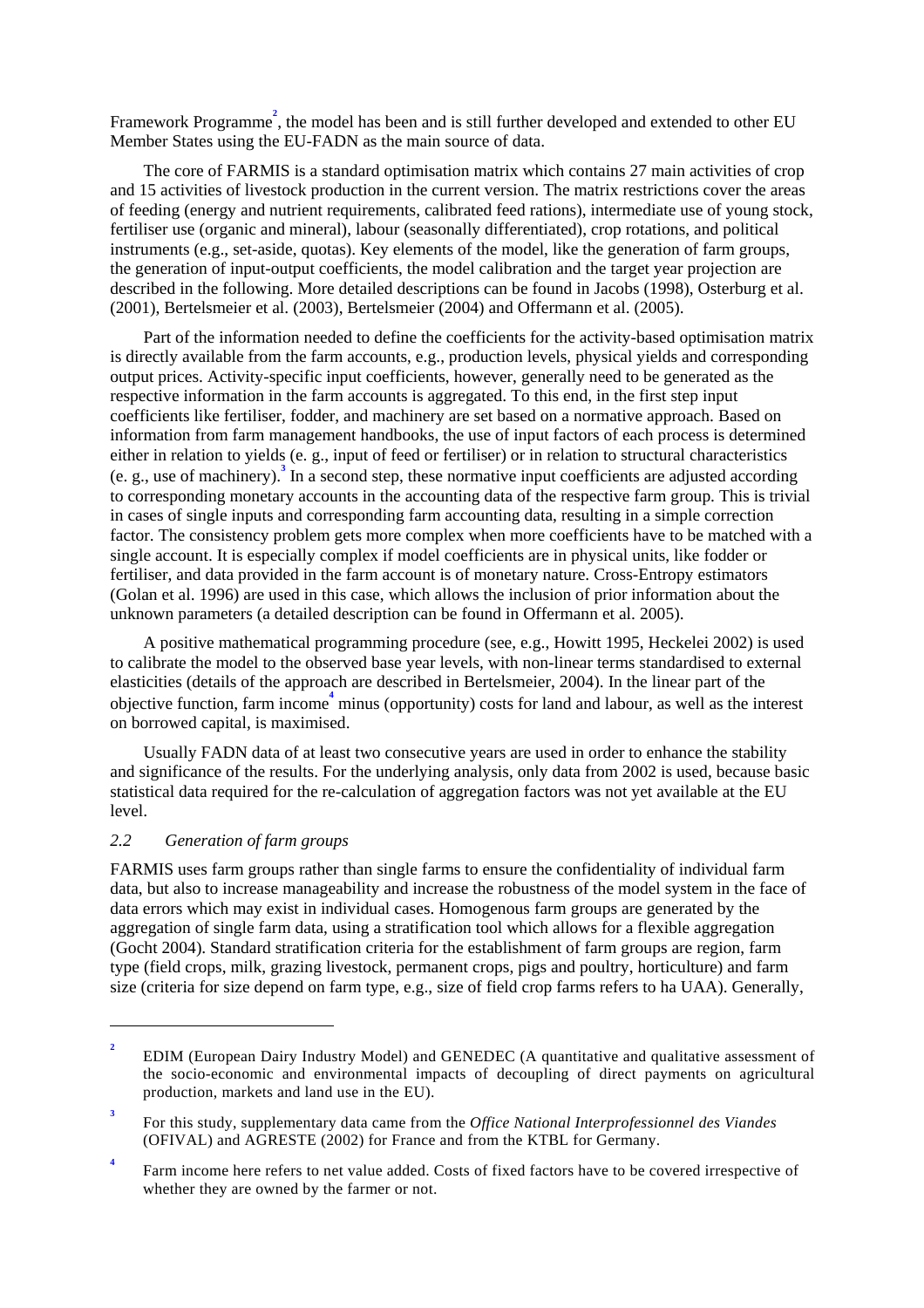Framework Programme<sup>2</sup>, the model has been and is still further developed and extended to other EU Member States using the EU-FADN as the main source of data.

The core of FARMIS is a standard optimisation matrix which contains 27 main activities of crop and 15 activities of livestock production in the current version. The matrix restrictions cover the areas of feeding (energy and nutrient requirements, calibrated feed rations), intermediate use of young stock, fertiliser use (organic and mineral), labour (seasonally differentiated), crop rotations, and political instruments (e.g., set-aside, quotas). Key elements of the model, like the generation of farm groups, the generation of input-output coefficients, the model calibration and the target year projection are described in the following. More detailed descriptions can be found in Jacobs (1998), Osterburg et al. (2001), Bertelsmeier et al. (2003), Bertelsmeier (2004) and Offermann et al. (2005).

Part of the information needed to define the coefficients for the activity-based optimisation matrix is directly available from the farm accounts, e.g., production levels, physical yields and corresponding output prices. Activity-specific input coefficients, however, generally need to be generated as the respective information in the farm accounts is aggregated. To this end, in the first step input coefficients like fertiliser, fodder, and machinery are set based on a normative approach. Based on information from farm management handbooks, the use of input factors of each process is determined either in relation to yields (e. g., input of feed or fertiliser) or in relation to structural characteristics (e. g., use of machinery).**<sup>3</sup>** In a second step, these normative input coefficients are adjusted according to corresponding monetary accounts in the accounting data of the respective farm group. This is trivial in cases of single inputs and corresponding farm accounting data, resulting in a simple correction factor. The consistency problem gets more complex when more coefficients have to be matched with a single account. It is especially complex if model coefficients are in physical units, like fodder or fertiliser, and data provided in the farm account is of monetary nature. Cross-Entropy estimators (Golan et al. 1996) are used in this case, which allows the inclusion of prior information about the unknown parameters (a detailed description can be found in Offermann et al. 2005).

A positive mathematical programming procedure (see, e.g., Howitt 1995, Heckelei 2002) is used to calibrate the model to the observed base year levels, with non-linear terms standardised to external elasticities (details of the approach are described in Bertelsmeier, 2004). In the linear part of the objective function, farm income**<sup>4</sup>** minus (opportunity) costs for land and labour, as well as the interest on borrowed capital, is maximised.

Usually FADN data of at least two consecutive years are used in order to enhance the stability and significance of the results. For the underlying analysis, only data from 2002 is used, because basic statistical data required for the re-calculation of aggregation factors was not yet available at the EU level.

#### *2.2 Generation of farm groups*

 $\overline{a}$ 

FARMIS uses farm groups rather than single farms to ensure the confidentiality of individual farm data, but also to increase manageability and increase the robustness of the model system in the face of data errors which may exist in individual cases. Homogenous farm groups are generated by the aggregation of single farm data, using a stratification tool which allows for a flexible aggregation (Gocht 2004). Standard stratification criteria for the establishment of farm groups are region, farm type (field crops, milk, grazing livestock, permanent crops, pigs and poultry, horticulture) and farm size (criteria for size depend on farm type, e.g., size of field crop farms refers to ha UAA). Generally,

**<sup>2</sup>** EDIM (European Dairy Industry Model) and GENEDEC (A quantitative and qualitative assessment of the socio-economic and environmental impacts of decoupling of direct payments on agricultural production, markets and land use in the EU).

**<sup>3</sup>** For this study, supplementary data came from the *Office National Interprofessionnel des Viandes* (OFIVAL) and AGRESTE (2002) for France and from the KTBL for Germany.

**<sup>4</sup>** Farm income here refers to net value added. Costs of fixed factors have to be covered irrespective of whether they are owned by the farmer or not.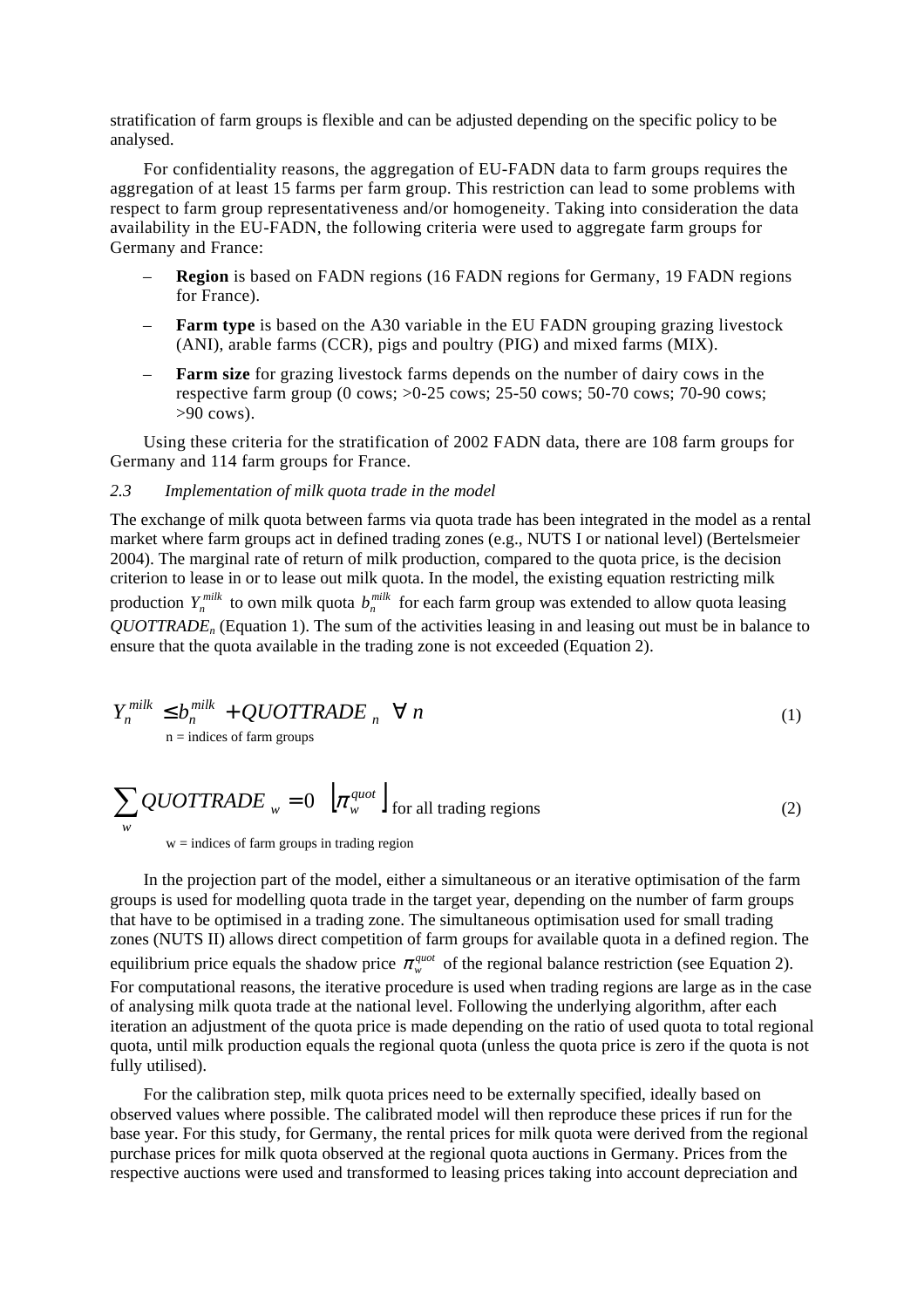stratification of farm groups is flexible and can be adjusted depending on the specific policy to be analysed.

For confidentiality reasons, the aggregation of EU-FADN data to farm groups requires the aggregation of at least 15 farms per farm group. This restriction can lead to some problems with respect to farm group representativeness and/or homogeneity. Taking into consideration the data availability in the EU-FADN, the following criteria were used to aggregate farm groups for Germany and France:

- **Region** is based on FADN regions (16 FADN regions for Germany, 19 FADN regions for France).
- **Farm type** is based on the A30 variable in the EU FADN grouping grazing livestock (ANI), arable farms (CCR), pigs and poultry (PIG) and mixed farms (MIX).
- **Farm size** for grazing livestock farms depends on the number of dairy cows in the respective farm group (0 cows; >0-25 cows; 25-50 cows; 50-70 cows; 70-90 cows;  $>90$  cows).

Using these criteria for the stratification of 2002 FADN data, there are 108 farm groups for Germany and 114 farm groups for France.

#### *2.3 Implementation of milk quota trade in the model*

The exchange of milk quota between farms via quota trade has been integrated in the model as a rental market where farm groups act in defined trading zones (e.g., NUTS I or national level) (Bertelsmeier 2004). The marginal rate of return of milk production, compared to the quota price, is the decision criterion to lease in or to lease out milk quota. In the model, the existing equation restricting milk production  $Y_n^{milk}$  to own milk quota  $b_n^{milk}$  for each farm group was extended to allow quota leasing *QUOTTRADEn* (Equation 1). The sum of the activities leasing in and leasing out must be in balance to ensure that the quota available in the trading zone is not exceeded (Equation 2).

$$
Y_n^{milk} \le b_n^{milk} + QUOTTRADE_n \quad \forall n
$$
  
n = indices of farm groups (1)

$$
\sum_{w} QUOTTRADE_{w} = 0 \left[ \pi_{w}^{quot} \right]_{\text{for all trading regions}}
$$
\n(2)

 $w =$  indices of farm groups in trading region

In the projection part of the model, either a simultaneous or an iterative optimisation of the farm groups is used for modelling quota trade in the target year, depending on the number of farm groups that have to be optimised in a trading zone. The simultaneous optimisation used for small trading zones (NUTS II) allows direct competition of farm groups for available quota in a defined region. The equilibrium price equals the shadow price  $\pi_w^{quot}$  of the regional balance restriction (see Equation 2). For computational reasons, the iterative procedure is used when trading regions are large as in the case of analysing milk quota trade at the national level. Following the underlying algorithm, after each iteration an adjustment of the quota price is made depending on the ratio of used quota to total regional quota, until milk production equals the regional quota (unless the quota price is zero if the quota is not fully utilised).

For the calibration step, milk quota prices need to be externally specified, ideally based on observed values where possible. The calibrated model will then reproduce these prices if run for the base year. For this study, for Germany, the rental prices for milk quota were derived from the regional purchase prices for milk quota observed at the regional quota auctions in Germany. Prices from the respective auctions were used and transformed to leasing prices taking into account depreciation and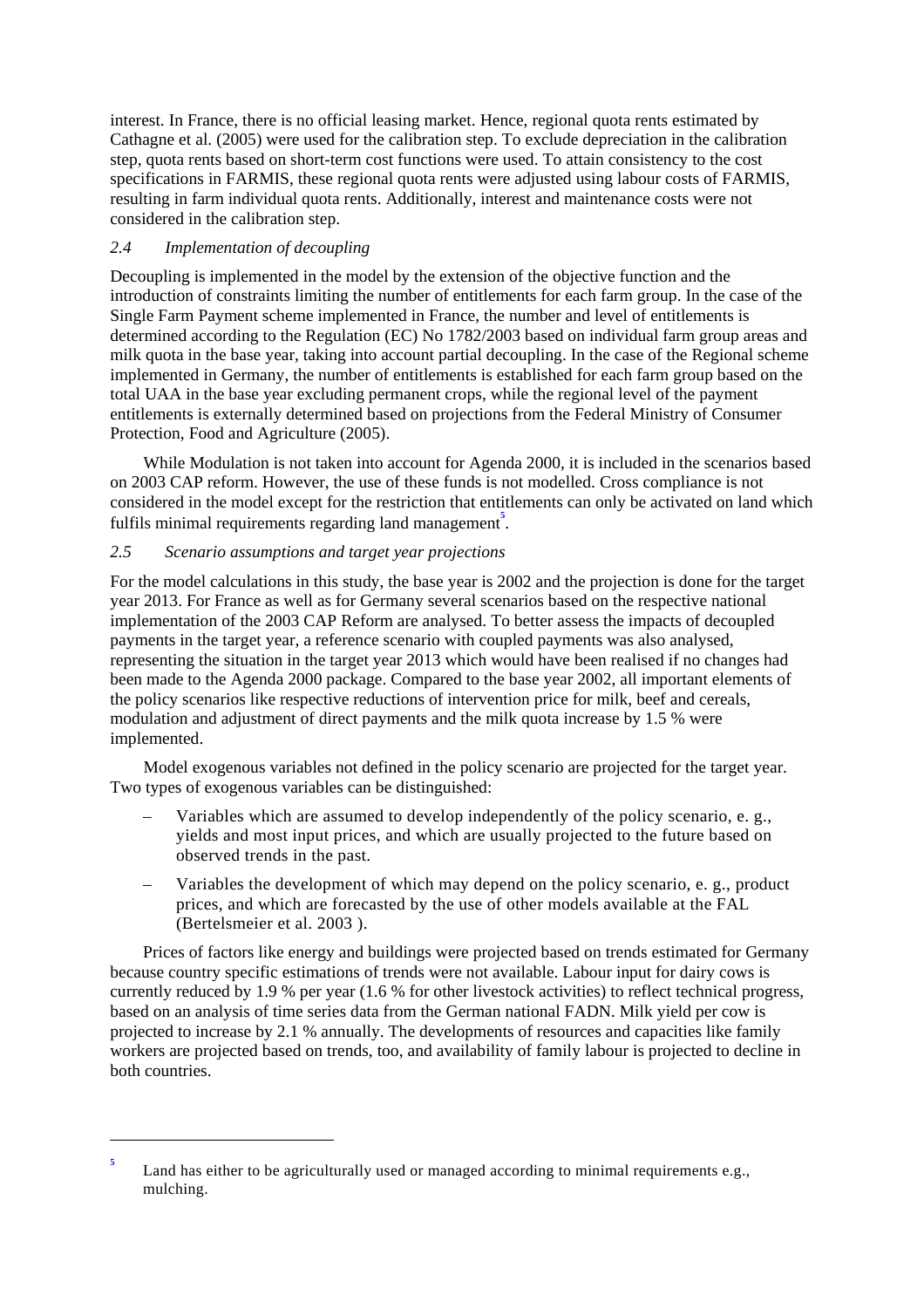interest. In France, there is no official leasing market. Hence, regional quota rents estimated by Cathagne et al. (2005) were used for the calibration step. To exclude depreciation in the calibration step, quota rents based on short-term cost functions were used. To attain consistency to the cost specifications in FARMIS, these regional quota rents were adjusted using labour costs of FARMIS, resulting in farm individual quota rents. Additionally, interest and maintenance costs were not considered in the calibration step.

### *2.4 Implementation of decoupling*

 $\overline{a}$ 

Decoupling is implemented in the model by the extension of the objective function and the introduction of constraints limiting the number of entitlements for each farm group. In the case of the Single Farm Payment scheme implemented in France, the number and level of entitlements is determined according to the Regulation (EC) No 1782/2003 based on individual farm group areas and milk quota in the base year, taking into account partial decoupling. In the case of the Regional scheme implemented in Germany, the number of entitlements is established for each farm group based on the total UAA in the base year excluding permanent crops, while the regional level of the payment entitlements is externally determined based on projections from the Federal Ministry of Consumer Protection, Food and Agriculture (2005).

While Modulation is not taken into account for Agenda 2000, it is included in the scenarios based on 2003 CAP reform. However, the use of these funds is not modelled. Cross compliance is not considered in the model except for the restriction that entitlements can only be activated on land which fulfils minimal requirements regarding land management<sup>5</sup>.

# *2.5 Scenario assumptions and target year projections*

For the model calculations in this study, the base year is 2002 and the projection is done for the target year 2013. For France as well as for Germany several scenarios based on the respective national implementation of the 2003 CAP Reform are analysed. To better assess the impacts of decoupled payments in the target year, a reference scenario with coupled payments was also analysed, representing the situation in the target year 2013 which would have been realised if no changes had been made to the Agenda 2000 package. Compared to the base year 2002, all important elements of the policy scenarios like respective reductions of intervention price for milk, beef and cereals, modulation and adjustment of direct payments and the milk quota increase by 1.5 % were implemented.

Model exogenous variables not defined in the policy scenario are projected for the target year. Two types of exogenous variables can be distinguished:

- Variables which are assumed to develop independently of the policy scenario, e. g., yields and most input prices, and which are usually projected to the future based on observed trends in the past.
- Variables the development of which may depend on the policy scenario, e. g., product prices, and which are forecasted by the use of other models available at the FAL (Bertelsmeier et al. 2003 ).

Prices of factors like energy and buildings were projected based on trends estimated for Germany because country specific estimations of trends were not available. Labour input for dairy cows is currently reduced by 1.9 % per year (1.6 % for other livestock activities) to reflect technical progress, based on an analysis of time series data from the German national FADN. Milk yield per cow is projected to increase by 2.1 % annually. The developments of resources and capacities like family workers are projected based on trends, too, and availability of family labour is projected to decline in both countries.

**<sup>5</sup>** Land has either to be agriculturally used or managed according to minimal requirements e.g., mulching.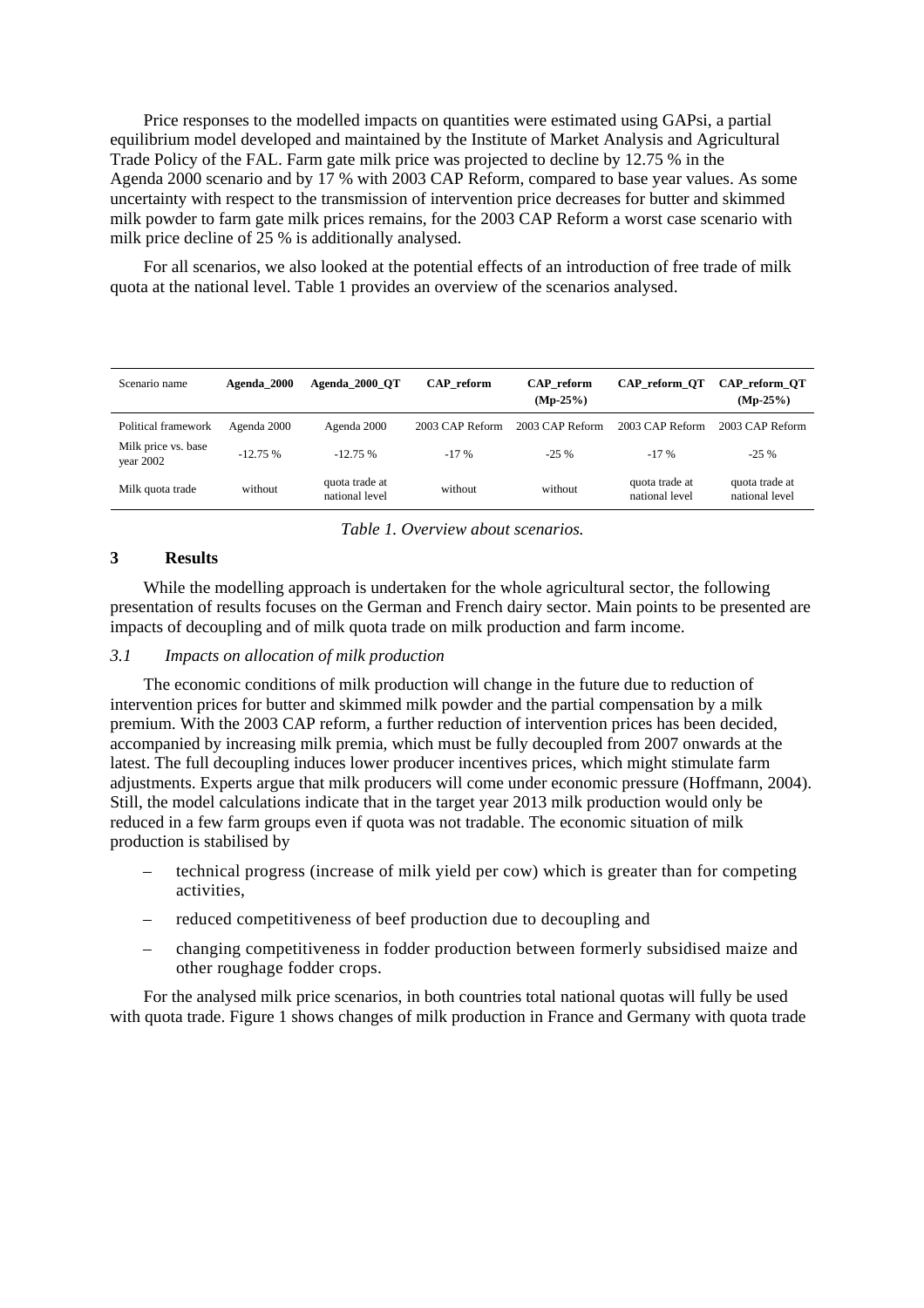Price responses to the modelled impacts on quantities were estimated using GAPsi, a partial equilibrium model developed and maintained by the Institute of Market Analysis and Agricultural Trade Policy of the FAL. Farm gate milk price was projected to decline by 12.75 % in the Agenda 2000 scenario and by 17 % with 2003 CAP Reform, compared to base year values. As some uncertainty with respect to the transmission of intervention price decreases for butter and skimmed milk powder to farm gate milk prices remains, for the 2003 CAP Reform a worst case scenario with milk price decline of 25 % is additionally analysed.

For all scenarios, we also looked at the potential effects of an introduction of free trade of milk quota at the national level. Table 1 provides an overview of the scenarios analysed.

| Scenario name                    | Agenda 2000 | Agenda 2000 OT                   | CAP reform      | <b>CAP</b> reform<br>$(Mp-25%)$ | CAP reform OT                    | CAP reform OT<br>$(Mp-25%)$      |
|----------------------------------|-------------|----------------------------------|-----------------|---------------------------------|----------------------------------|----------------------------------|
| Political framework              | Agenda 2000 | Agenda 2000                      | 2003 CAP Reform | 2003 CAP Reform                 | 2003 CAP Reform                  | 2003 CAP Reform                  |
| Milk price vs. base<br>year 2002 | $-12.75%$   | $-12.75%$                        | $-17\%$         | $-25\%$                         | $-17%$                           | $-25\%$                          |
| Milk quota trade                 | without     | quota trade at<br>national level | without         | without                         | quota trade at<br>national level | quota trade at<br>national level |

*Table 1. Overview about scenarios.* 

#### **3 Results**

While the modelling approach is undertaken for the whole agricultural sector, the following presentation of results focuses on the German and French dairy sector. Main points to be presented are impacts of decoupling and of milk quota trade on milk production and farm income.

### *3.1 Impacts on allocation of milk production*

The economic conditions of milk production will change in the future due to reduction of intervention prices for butter and skimmed milk powder and the partial compensation by a milk premium. With the 2003 CAP reform, a further reduction of intervention prices has been decided, accompanied by increasing milk premia, which must be fully decoupled from 2007 onwards at the latest. The full decoupling induces lower producer incentives prices, which might stimulate farm adjustments. Experts argue that milk producers will come under economic pressure (Hoffmann, 2004). Still, the model calculations indicate that in the target year 2013 milk production would only be reduced in a few farm groups even if quota was not tradable. The economic situation of milk production is stabilised by

- technical progress (increase of milk yield per cow) which is greater than for competing activities,
- reduced competitiveness of beef production due to decoupling and
- changing competitiveness in fodder production between formerly subsidised maize and other roughage fodder crops.

For the analysed milk price scenarios, in both countries total national quotas will fully be used with quota trade. Figure 1 shows changes of milk production in France and Germany with quota trade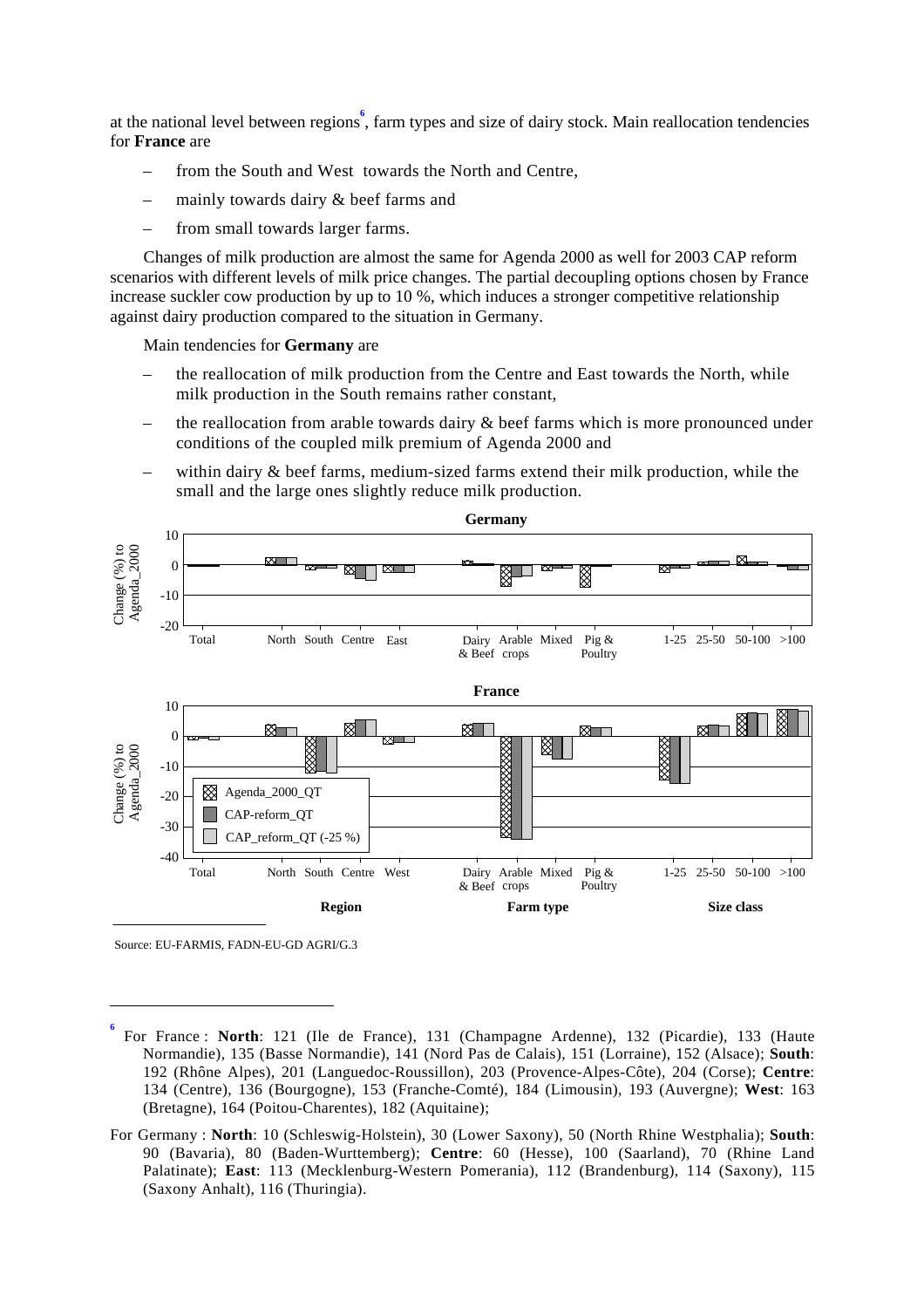at the national level between regions<sup>6</sup>, farm types and size of dairy stock. Main reallocation tendencies for **France** are

- from the South and West towards the North and Centre,
- mainly towards dairy & beef farms and
- from small towards larger farms.

Changes of milk production are almost the same for Agenda 2000 as well for 2003 CAP reform scenarios with different levels of milk price changes. The partial decoupling options chosen by France increase suckler cow production by up to 10 %, which induces a stronger competitive relationship against dairy production compared to the situation in Germany.

Main tendencies for **Germany** are

- the reallocation of milk production from the Centre and East towards the North, while milk production in the South remains rather constant,
- the reallocation from arable towards dairy  $\&$  beef farms which is more pronounced under conditions of the coupled milk premium of Agenda 2000 and
- within dairy  $\&$  beef farms, medium-sized farms extend their milk production, while the small and the large ones slightly reduce milk production.



Source: EU-FARMIS, FADN-EU-GD AGRI/G.3

 $\overline{a}$ 

**<sup>6</sup>** For France : **North**: 121 (Ile de France), 131 (Champagne Ardenne), 132 (Picardie), 133 (Haute Normandie), 135 (Basse Normandie), 141 (Nord Pas de Calais), 151 (Lorraine), 152 (Alsace); **South**: 192 (Rhône Alpes), 201 (Languedoc-Roussillon), 203 (Provence-Alpes-Côte), 204 (Corse); **Centre**: 134 (Centre), 136 (Bourgogne), 153 (Franche-Comté), 184 (Limousin), 193 (Auvergne); **West**: 163 (Bretagne), 164 (Poitou-Charentes), 182 (Aquitaine);

For Germany : **North**: 10 (Schleswig-Holstein), 30 (Lower Saxony), 50 (North Rhine Westphalia); **South**: 90 (Bavaria), 80 (Baden-Wurttemberg); **Centre**: 60 (Hesse), 100 (Saarland), 70 (Rhine Land Palatinate); **East**: 113 (Mecklenburg-Western Pomerania), 112 (Brandenburg), 114 (Saxony), 115 (Saxony Anhalt), 116 (Thuringia).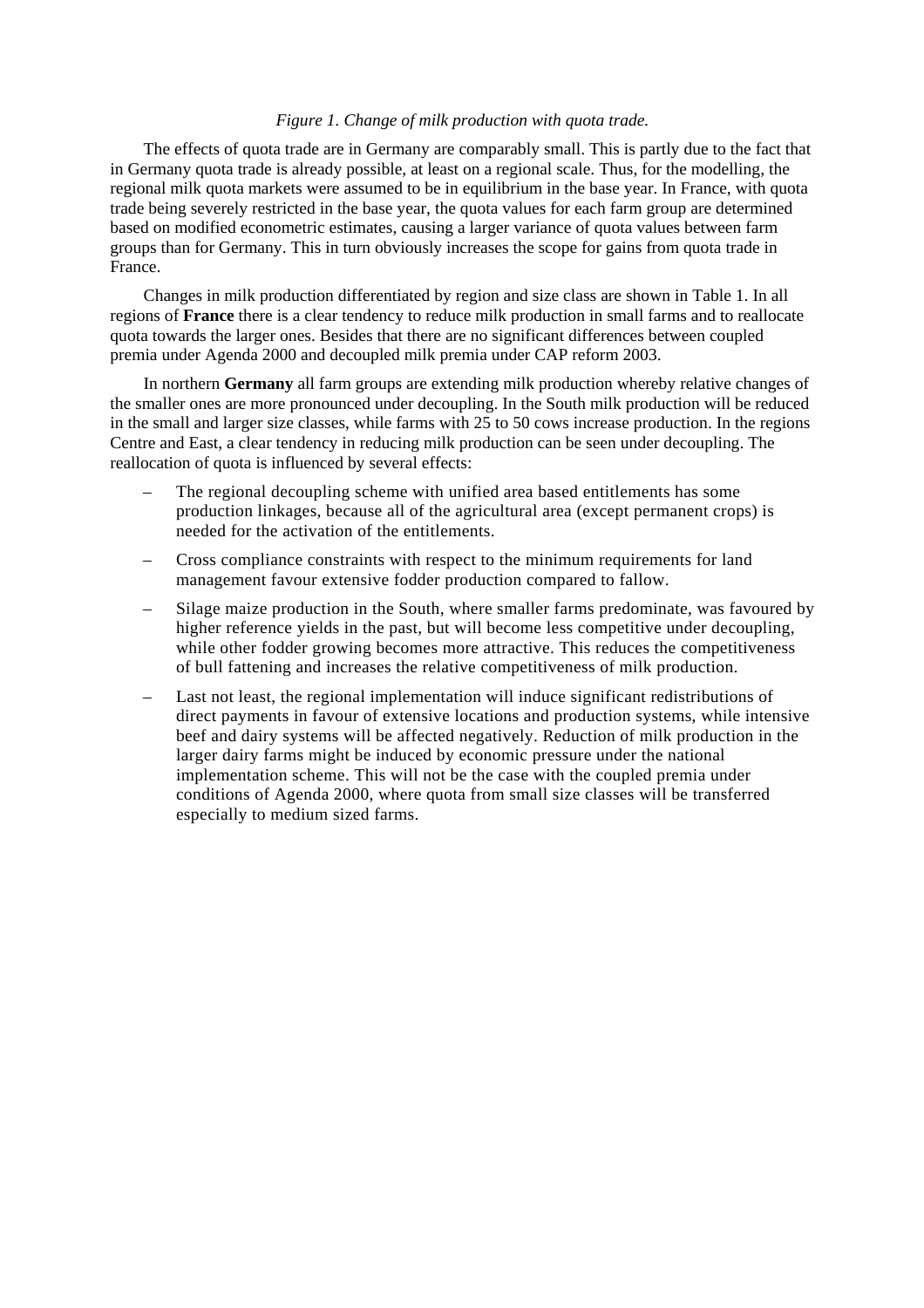#### *Figure 1. Change of milk production with quota trade.*

The effects of quota trade are in Germany are comparably small. This is partly due to the fact that in Germany quota trade is already possible, at least on a regional scale. Thus, for the modelling, the regional milk quota markets were assumed to be in equilibrium in the base year. In France, with quota trade being severely restricted in the base year, the quota values for each farm group are determined based on modified econometric estimates, causing a larger variance of quota values between farm groups than for Germany. This in turn obviously increases the scope for gains from quota trade in France.

Changes in milk production differentiated by region and size class are shown in Table 1. In all regions of **France** there is a clear tendency to reduce milk production in small farms and to reallocate quota towards the larger ones. Besides that there are no significant differences between coupled premia under Agenda 2000 and decoupled milk premia under CAP reform 2003.

In northern **Germany** all farm groups are extending milk production whereby relative changes of the smaller ones are more pronounced under decoupling. In the South milk production will be reduced in the small and larger size classes, while farms with 25 to 50 cows increase production. In the regions Centre and East, a clear tendency in reducing milk production can be seen under decoupling. The reallocation of quota is influenced by several effects:

- The regional decoupling scheme with unified area based entitlements has some production linkages, because all of the agricultural area (except permanent crops) is needed for the activation of the entitlements.
- Cross compliance constraints with respect to the minimum requirements for land management favour extensive fodder production compared to fallow.
- Silage maize production in the South, where smaller farms predominate, was favoured by higher reference yields in the past, but will become less competitive under decoupling, while other fodder growing becomes more attractive. This reduces the competitiveness of bull fattening and increases the relative competitiveness of milk production.
- Last not least, the regional implementation will induce significant redistributions of direct payments in favour of extensive locations and production systems, while intensive beef and dairy systems will be affected negatively. Reduction of milk production in the larger dairy farms might be induced by economic pressure under the national implementation scheme. This will not be the case with the coupled premia under conditions of Agenda 2000, where quota from small size classes will be transferred especially to medium sized farms.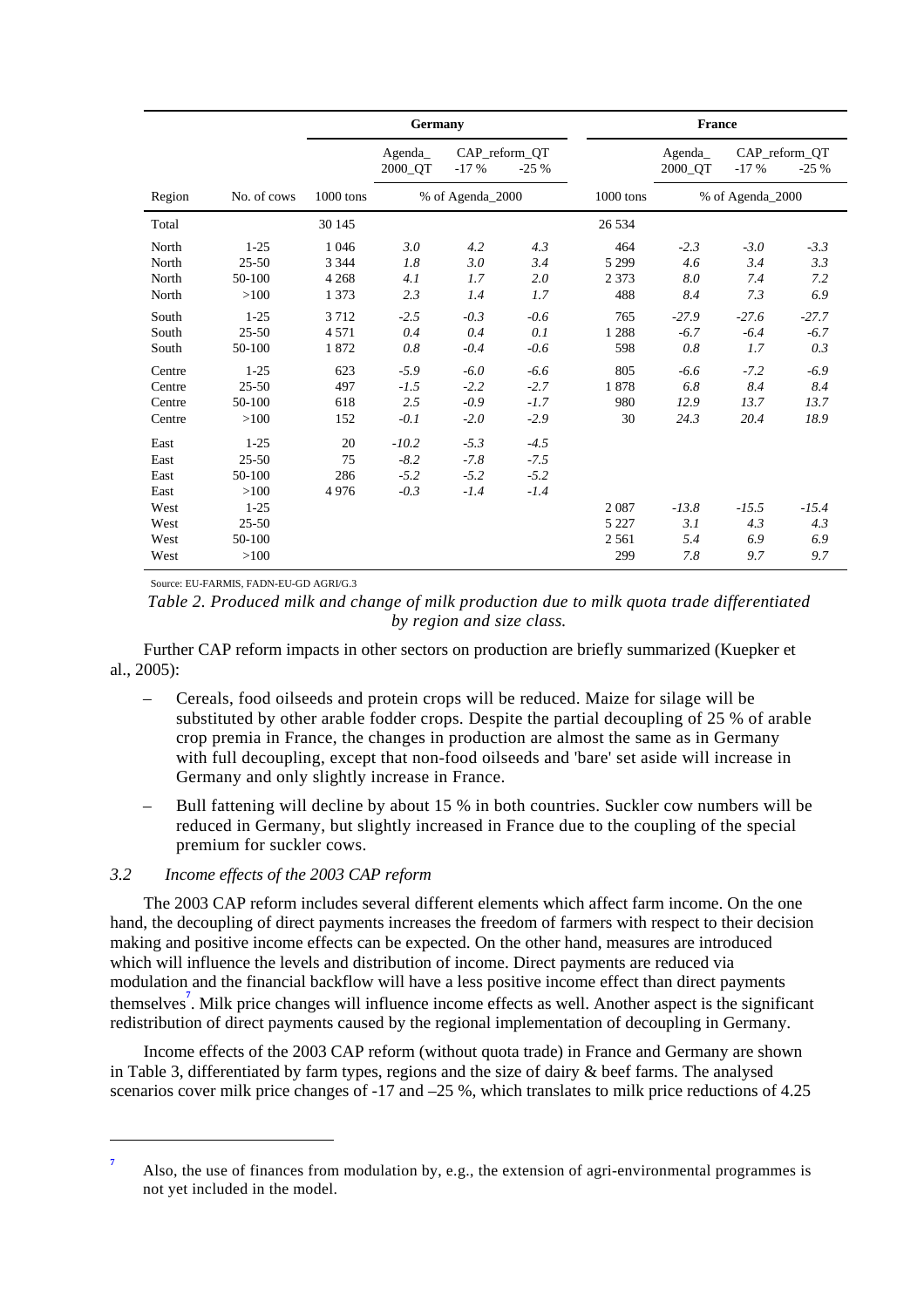|        |             | Germany     |                   |        | <b>France</b>           |                  |                      |         |                         |
|--------|-------------|-------------|-------------------|--------|-------------------------|------------------|----------------------|---------|-------------------------|
|        |             |             | Agenda<br>2000_QT | $-17%$ | CAP_reform_QT<br>$-25%$ |                  | $A$ genda<br>2000_QT | $-17%$  | CAP_reform_QT<br>$-25%$ |
| Region | No. of cows | $1000$ tons | % of Agenda_2000  |        | 1000 tons               | % of Agenda_2000 |                      |         |                         |
| Total  |             | 30 145      |                   |        |                         | 26 5 34          |                      |         |                         |
| North  | $1 - 25$    | 1 0 4 6     | 3.0               | 4.2    | 4.3                     | 464              | $-2.3$               | $-3.0$  | $-3.3$                  |
| North  | $25 - 50$   | 3 3 4 4     | 1.8               | 3.0    | 3.4                     | 5 2 9 9          | 4.6                  | 3.4     | 3.3                     |
| North  | 50-100      | 4 2 6 8     | 4.1               | 1.7    | 2.0                     | 2 3 7 3          | 8.0                  | 7.4     | 7.2                     |
| North  | >100        | 1 3 7 3     | 2.3               | 1.4    | 1.7                     | 488              | 8.4                  | 7.3     | 6.9                     |
| South  | $1 - 25$    | 3712        | $-2.5$            | $-0.3$ | $-0.6$                  | 765              | $-27.9$              | $-27.6$ | $-27.7$                 |
| South  | $25 - 50$   | 4 5 7 1     | 0.4               | 0.4    | 0.1                     | 1 2 8 8          | $-6.7$               | $-6.4$  | $-6.7$                  |
| South  | 50-100      | 1872        | $0.8\,$           | $-0.4$ | $-0.6$                  | 598              | $0.8\,$              | 1.7     | 0.3                     |
| Centre | $1 - 25$    | 623         | $-5.9$            | $-6.0$ | $-6.6$                  | 805              | $-6.6$               | $-7.2$  | $-6.9$                  |
| Centre | $25 - 50$   | 497         | $-1.5$            | $-2.2$ | $-2.7$                  | 1878             | 6.8                  | 8.4     | 8.4                     |
| Centre | 50-100      | 618         | 2.5               | $-0.9$ | $-1.7$                  | 980              | 12.9                 | 13.7    | 13.7                    |
| Centre | >100        | 152         | $-0.1$            | $-2.0$ | $-2.9$                  | 30               | 24.3                 | 20.4    | 18.9                    |
| East   | $1 - 25$    | 20          | $-10.2$           | $-5.3$ | $-4.5$                  |                  |                      |         |                         |
| East   | $25 - 50$   | 75          | $-8.2$            | $-7.8$ | $-7.5$                  |                  |                      |         |                         |
| East   | 50-100      | 286         | $-5.2$            | $-5.2$ | $-5.2$                  |                  |                      |         |                         |
| East   | >100        | 4976        | $-0.3$            | $-1.4$ | $-1.4$                  |                  |                      |         |                         |
| West   | $1 - 25$    |             |                   |        |                         | 2087             | $-13.8$              | $-15.5$ | $-15.4$                 |
| West   | $25 - 50$   |             |                   |        |                         | 5 2 2 7          | 3.1                  | 4.3     | 4.3                     |
| West   | 50-100      |             |                   |        |                         | 2 5 6 1          | 5.4                  | 6.9     | 6.9                     |
| West   | >100        |             |                   |        |                         | 299              | 7.8                  | 9.7     | 9.7                     |

Source: EU-FARMIS, FADN-EU-GD AGRI/G.3

*Table 2. Produced milk and change of milk production due to milk quota trade differentiated by region and size class.* 

Further CAP reform impacts in other sectors on production are briefly summarized (Kuepker et al., 2005):

- Cereals, food oilseeds and protein crops will be reduced. Maize for silage will be substituted by other arable fodder crops. Despite the partial decoupling of 25 % of arable crop premia in France, the changes in production are almost the same as in Germany with full decoupling, except that non-food oilseeds and 'bare' set aside will increase in Germany and only slightly increase in France.
- Bull fattening will decline by about 15 % in both countries. Suckler cow numbers will be reduced in Germany, but slightly increased in France due to the coupling of the special premium for suckler cows.

#### *3.2 Income effects of the 2003 CAP reform*

 $\overline{a}$ 

The 2003 CAP reform includes several different elements which affect farm income. On the one hand, the decoupling of direct payments increases the freedom of farmers with respect to their decision making and positive income effects can be expected. On the other hand, measures are introduced which will influence the levels and distribution of income. Direct payments are reduced via modulation and the financial backflow will have a less positive income effect than direct payments themselves**<sup>7</sup>** . Milk price changes will influence income effects as well. Another aspect is the significant redistribution of direct payments caused by the regional implementation of decoupling in Germany.

Income effects of the 2003 CAP reform (without quota trade) in France and Germany are shown in Table 3, differentiated by farm types, regions and the size of dairy & beef farms. The analysed scenarios cover milk price changes of -17 and –25 %, which translates to milk price reductions of 4.25

**<sup>7</sup>** Also, the use of finances from modulation by, e.g., the extension of agri-environmental programmes is not yet included in the model.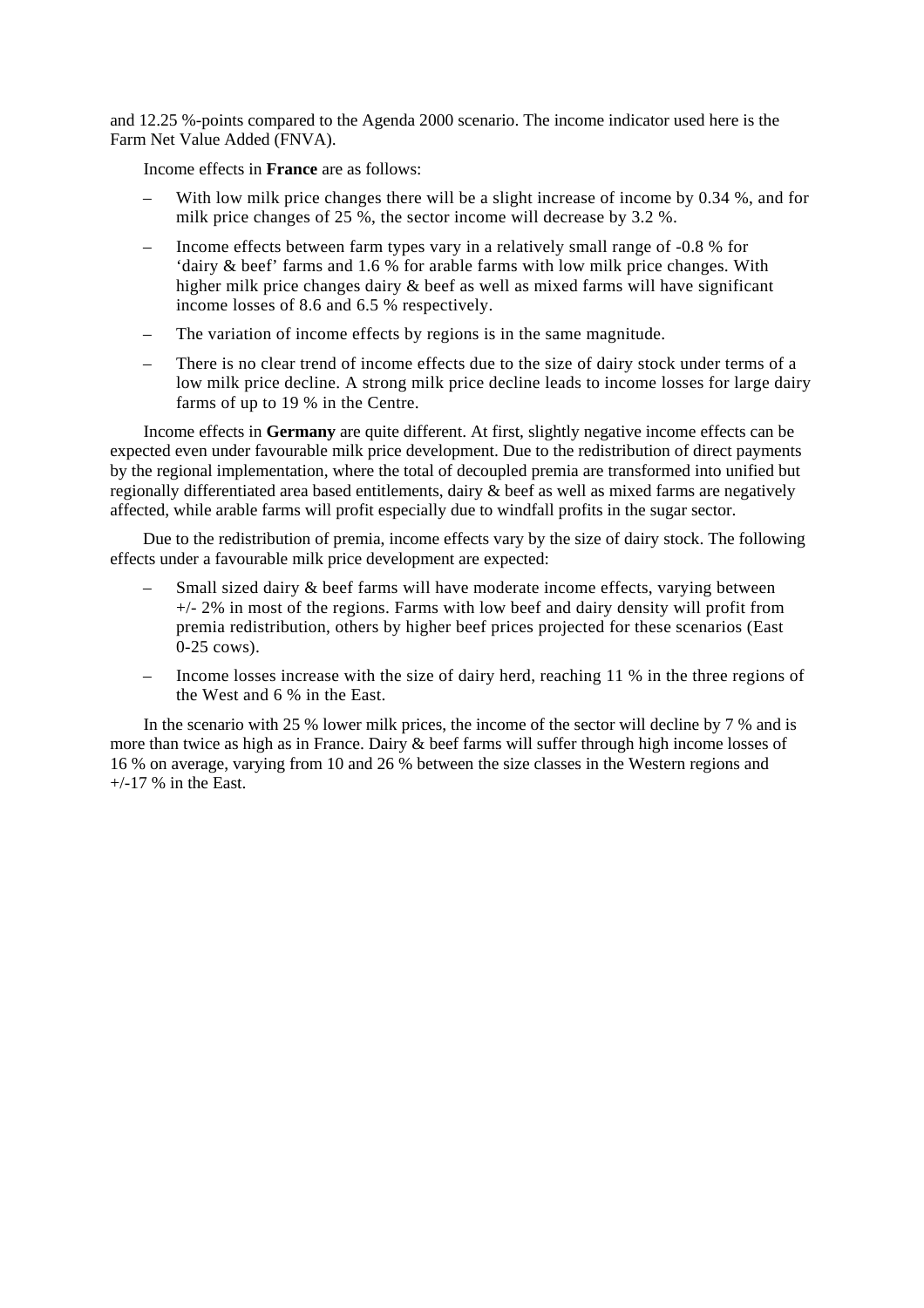and 12.25 %-points compared to the Agenda 2000 scenario. The income indicator used here is the Farm Net Value Added (FNVA).

Income effects in **France** are as follows:

- With low milk price changes there will be a slight increase of income by 0.34 %, and for milk price changes of 25 %, the sector income will decrease by 3.2 %.
- Income effects between farm types vary in a relatively small range of -0.8 % for 'dairy & beef' farms and 1.6 % for arable farms with low milk price changes. With higher milk price changes dairy & beef as well as mixed farms will have significant income losses of 8.6 and 6.5 % respectively.
- The variation of income effects by regions is in the same magnitude.
- There is no clear trend of income effects due to the size of dairy stock under terms of a low milk price decline. A strong milk price decline leads to income losses for large dairy farms of up to 19 % in the Centre.

Income effects in **Germany** are quite different. At first, slightly negative income effects can be expected even under favourable milk price development. Due to the redistribution of direct payments by the regional implementation, where the total of decoupled premia are transformed into unified but regionally differentiated area based entitlements, dairy & beef as well as mixed farms are negatively affected, while arable farms will profit especially due to windfall profits in the sugar sector.

Due to the redistribution of premia, income effects vary by the size of dairy stock. The following effects under a favourable milk price development are expected:

- Small sized dairy & beef farms will have moderate income effects, varying between +/- 2% in most of the regions. Farms with low beef and dairy density will profit from premia redistribution, others by higher beef prices projected for these scenarios (East 0-25 cows).
- Income losses increase with the size of dairy herd, reaching 11 % in the three regions of the West and 6 % in the East.

In the scenario with 25 % lower milk prices, the income of the sector will decline by 7 % and is more than twice as high as in France. Dairy & beef farms will suffer through high income losses of 16 % on average, varying from 10 and 26 % between the size classes in the Western regions and  $+/-17$  % in the East.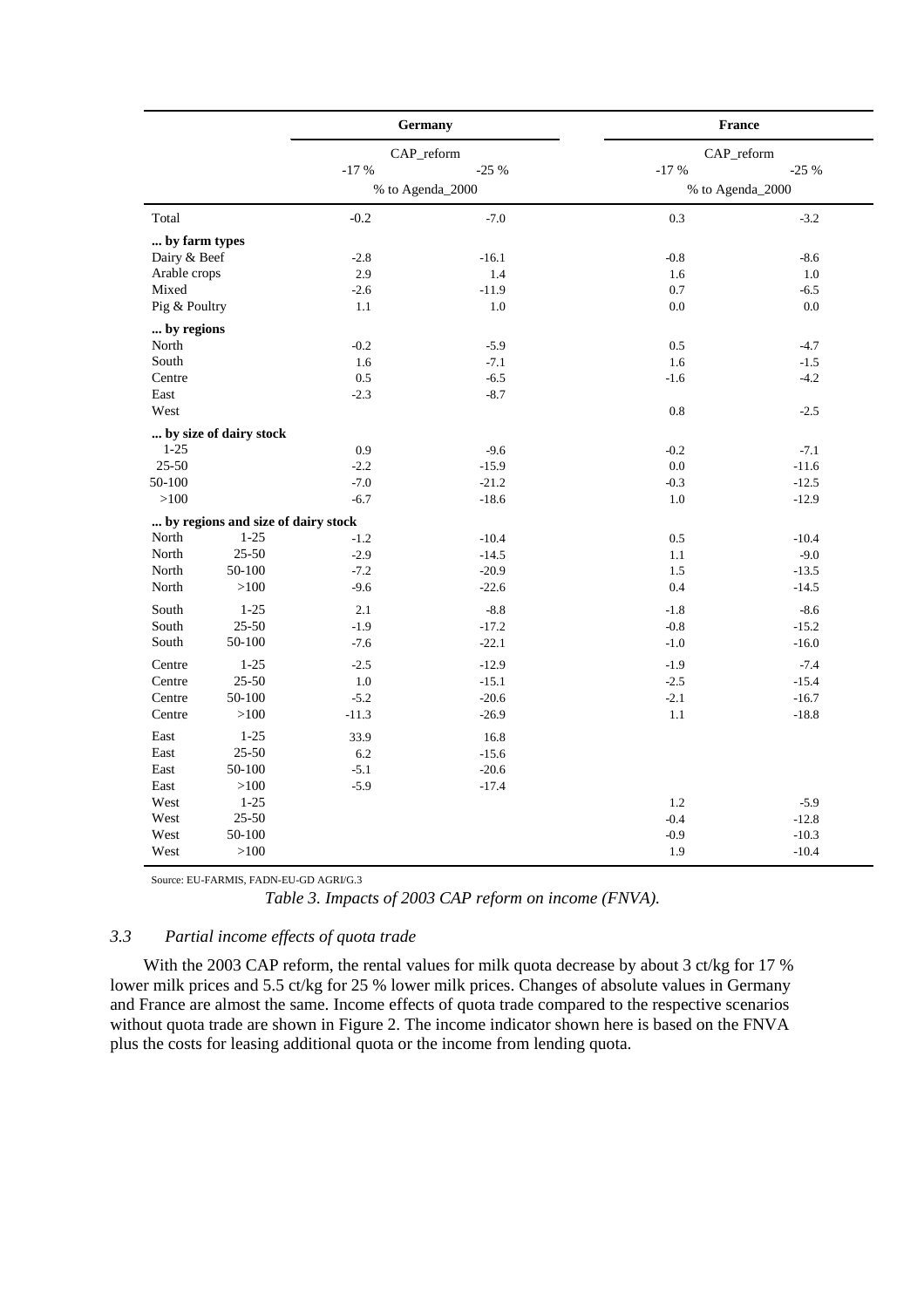|                |                                    |                  | <b>Germany</b>     | France           |         |  |
|----------------|------------------------------------|------------------|--------------------|------------------|---------|--|
|                |                                    |                  | CAP_reform         | CAP_reform       |         |  |
|                |                                    | $-17%$           | $-25%$             | $-17%$           | $-25%$  |  |
|                |                                    | % to Agenda_2000 |                    | % to Agenda_2000 |         |  |
| Total          |                                    | $-0.2$           | $-7.0$             | 0.3              | $-3.2$  |  |
| by farm types  |                                    |                  |                    |                  |         |  |
| Dairy & Beef   |                                    | $-2.8$           | $-16.1$            | $-0.8$           | $-8.6$  |  |
| Arable crops   |                                    | 2.9              | 1.4                | 1.6              | 1.0     |  |
| Mixed          |                                    | $-2.6$           | $-11.9$            | 0.7              | $-6.5$  |  |
| Pig & Poultry  |                                    | 1.1              | 1.0                | 0.0              | 0.0     |  |
| by regions     |                                    |                  |                    |                  |         |  |
| North          |                                    | $-0.2$           | $-5.9$             | 0.5              | $-4.7$  |  |
| South          |                                    | 1.6              | $-7.1$             | 1.6              | $-1.5$  |  |
| Centre         |                                    | 0.5              | $-6.5$             | $-1.6$           | $-4.2$  |  |
| East           |                                    | $-2.3$           | $-8.7$             |                  |         |  |
| West           |                                    |                  |                    | 0.8              | $-2.5$  |  |
|                | by size of dairy stock             |                  |                    |                  |         |  |
| $1-25$         |                                    | 0.9              | $-9.6$             | $-0.2$           | $-7.1$  |  |
| 25-50          |                                    | $-2.2$           | $-15.9$            | 0.0              | $-11.6$ |  |
| 50-100         |                                    | $-7.0$           | $-21.2$            | $-0.3$           | $-12.5$ |  |
| >100           |                                    | $-6.7$           | $-18.6$            | 1.0              | $-12.9$ |  |
|                |                                    |                  |                    |                  |         |  |
|                | by regions and size of dairy stock |                  |                    |                  |         |  |
| North<br>North | $1 - 25$<br>$25 - 50$              | $-1.2$           | $-10.4$            | 0.5              | $-10.4$ |  |
| North          | 50-100                             | $-2.9$<br>$-7.2$ | $-14.5$<br>$-20.9$ | 1.1              | $-9.0$  |  |
|                |                                    |                  |                    | 1.5              | $-13.5$ |  |
| North          | >100                               | $-9.6$           | $-22.6$            | 0.4              | $-14.5$ |  |
| South          | $1-25$                             | 2.1              | $-8.8$             | $-1.8$           | $-8.6$  |  |
| South          | $25 - 50$                          | $-1.9$           | $-17.2$            | $-0.8$           | $-15.2$ |  |
| South          | 50-100                             | $-7.6$           | $-22.1$            | $-1.0$           | $-16.0$ |  |
| Centre         | $1 - 25$                           | $-2.5$           | $-12.9$            | $-1.9$           | $-7.4$  |  |
| Centre         | $25 - 50$                          | 1.0              | $-15.1$            | $-2.5$           | $-15.4$ |  |
| Centre         | 50-100                             | $-5.2$           | $-20.6$            | $-2.1$           | $-16.7$ |  |
| Centre         | >100                               | $-11.3$          | $-26.9$            | 1.1              | $-18.8$ |  |
| East           | $1 - 25$                           | 33.9             | 16.8               |                  |         |  |
| East           | $25 - 50$                          | 6.2              | $-15.6$            |                  |         |  |
| East           | 50-100                             | $-5.1$           | $-20.6$            |                  |         |  |
| East           | >100                               | $-5.9$           | $-17.4$            |                  |         |  |
| West           | $1 - 25$                           |                  |                    | 1.2              | $-5.9$  |  |
| West           | $25 - 50$                          |                  |                    | $-0.4$           | $-12.8$ |  |
| West           | 50-100                             |                  |                    | $-0.9$           | $-10.3$ |  |
| West           | >100                               |                  |                    | 1.9              | $-10.4$ |  |
|                |                                    |                  |                    |                  |         |  |

Source: EU-FARMIS, FADN-EU-GD AGRI/G.3

*Table 3. Impacts of 2003 CAP reform on income (FNVA).*

#### *3.3 Partial income effects of quota trade*

With the 2003 CAP reform, the rental values for milk quota decrease by about 3 ct/kg for 17 % lower milk prices and 5.5 ct/kg for 25 % lower milk prices. Changes of absolute values in Germany and France are almost the same. Income effects of quota trade compared to the respective scenarios without quota trade are shown in Figure 2. The income indicator shown here is based on the FNVA plus the costs for leasing additional quota or the income from lending quota.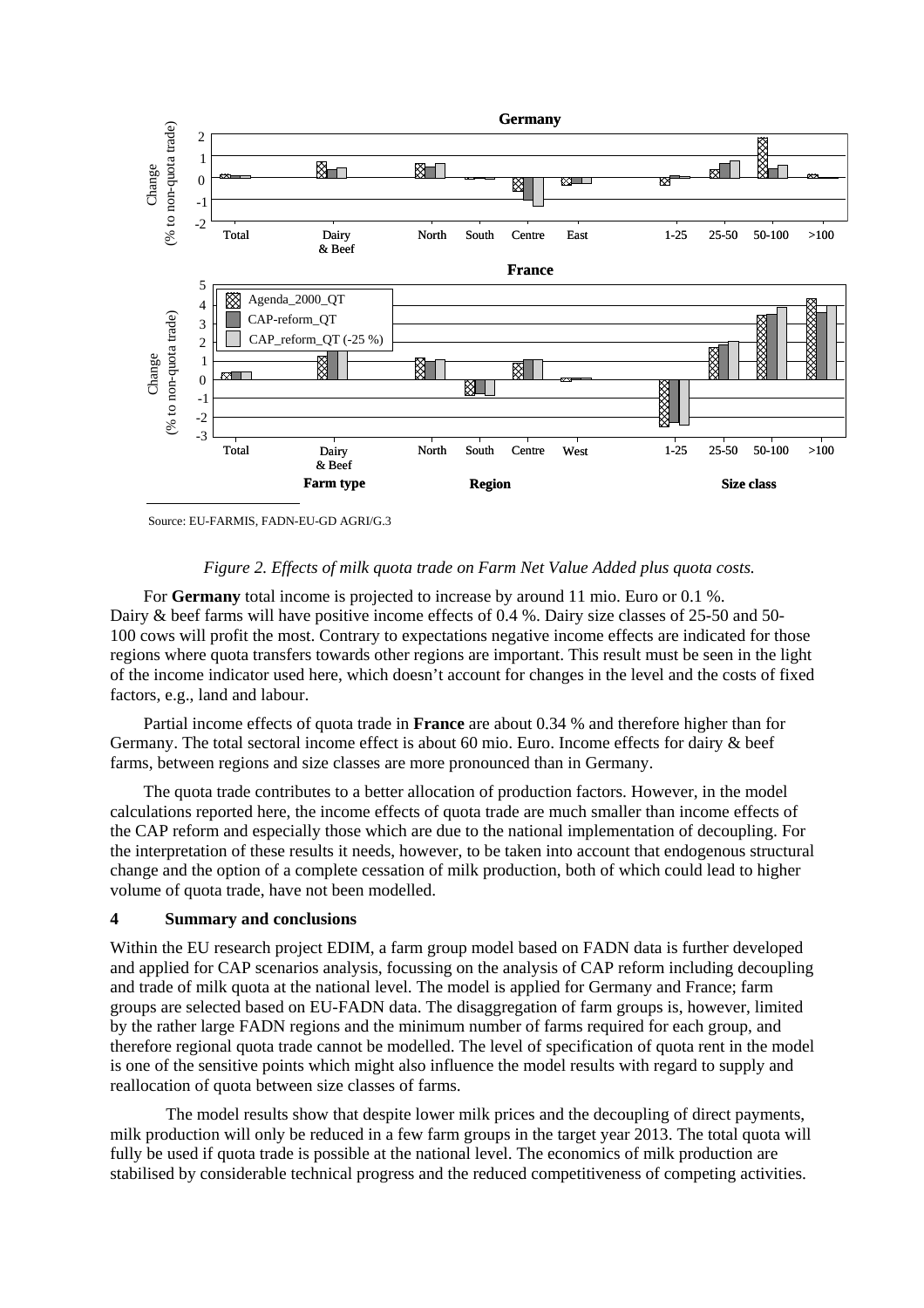

#### *Figure 2. Effects of milk quota trade on Farm Net Value Added plus quota costs.*

For **Germany** total income is projected to increase by around 11 mio. Euro or 0.1 %. Dairy & beef farms will have positive income effects of 0.4 %. Dairy size classes of 25-50 and 50- 100 cows will profit the most. Contrary to expectations negative income effects are indicated for those regions where quota transfers towards other regions are important. This result must be seen in the light of the income indicator used here, which doesn't account for changes in the level and the costs of fixed factors, e.g., land and labour.

Partial income effects of quota trade in **France** are about 0.34 % and therefore higher than for Germany. The total sectoral income effect is about 60 mio. Euro. Income effects for dairy & beef farms, between regions and size classes are more pronounced than in Germany.

The quota trade contributes to a better allocation of production factors. However, in the model calculations reported here, the income effects of quota trade are much smaller than income effects of the CAP reform and especially those which are due to the national implementation of decoupling. For the interpretation of these results it needs, however, to be taken into account that endogenous structural change and the option of a complete cessation of milk production, both of which could lead to higher volume of quota trade, have not been modelled.

#### **4 Summary and conclusions**

Within the EU research project EDIM, a farm group model based on FADN data is further developed and applied for CAP scenarios analysis, focussing on the analysis of CAP reform including decoupling and trade of milk quota at the national level. The model is applied for Germany and France; farm groups are selected based on EU-FADN data. The disaggregation of farm groups is, however, limited by the rather large FADN regions and the minimum number of farms required for each group, and therefore regional quota trade cannot be modelled. The level of specification of quota rent in the model is one of the sensitive points which might also influence the model results with regard to supply and reallocation of quota between size classes of farms.

The model results show that despite lower milk prices and the decoupling of direct payments, milk production will only be reduced in a few farm groups in the target year 2013. The total quota will fully be used if quota trade is possible at the national level. The economics of milk production are stabilised by considerable technical progress and the reduced competitiveness of competing activities.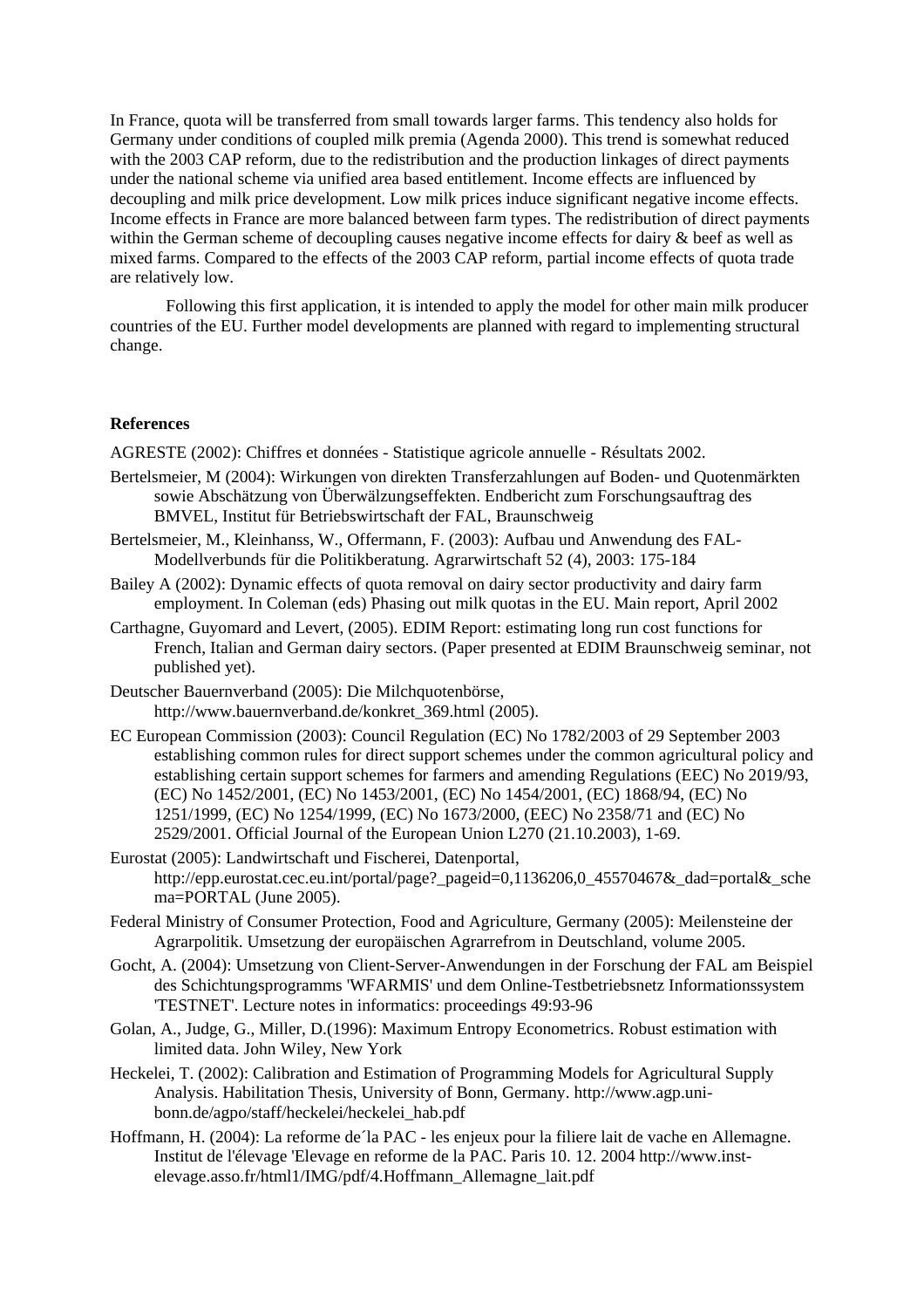In France, quota will be transferred from small towards larger farms. This tendency also holds for Germany under conditions of coupled milk premia (Agenda 2000). This trend is somewhat reduced with the 2003 CAP reform, due to the redistribution and the production linkages of direct payments under the national scheme via unified area based entitlement. Income effects are influenced by decoupling and milk price development. Low milk prices induce significant negative income effects. Income effects in France are more balanced between farm types. The redistribution of direct payments within the German scheme of decoupling causes negative income effects for dairy & beef as well as mixed farms. Compared to the effects of the 2003 CAP reform, partial income effects of quota trade are relatively low.

Following this first application, it is intended to apply the model for other main milk producer countries of the EU. Further model developments are planned with regard to implementing structural change.

#### **References**

AGRESTE (2002): Chiffres et données - Statistique agricole annuelle - Résultats 2002.

- Bertelsmeier, M (2004): Wirkungen von direkten Transferzahlungen auf Boden- und Quotenmärkten sowie Abschätzung von Überwälzungseffekten. Endbericht zum Forschungsauftrag des BMVEL, Institut für Betriebswirtschaft der FAL, Braunschweig
- Bertelsmeier, M., Kleinhanss, W., Offermann, F. (2003): Aufbau und Anwendung des FAL-Modellverbunds für die Politikberatung. Agrarwirtschaft 52 (4), 2003: 175-184
- Bailey A (2002): Dynamic effects of quota removal on dairy sector productivity and dairy farm employment. In Coleman (eds) Phasing out milk quotas in the EU. Main report, April 2002
- Carthagne, Guyomard and Levert, (2005). EDIM Report: estimating long run cost functions for French, Italian and German dairy sectors. (Paper presented at EDIM Braunschweig seminar, not published yet).
- Deutscher Bauernverband (2005): Die Milchquotenbörse, http://www.bauernverband.de/konkret\_369.html (2005).
- EC European Commission (2003): Council Regulation (EC) No 1782/2003 of 29 September 2003 establishing common rules for direct support schemes under the common agricultural policy and establishing certain support schemes for farmers and amending Regulations (EEC) No 2019/93, (EC) No 1452/2001, (EC) No 1453/2001, (EC) No 1454/2001, (EC) 1868/94, (EC) No 1251/1999, (EC) No 1254/1999, (EC) No 1673/2000, (EEC) No 2358/71 and (EC) No 2529/2001. Official Journal of the European Union L270 (21.10.2003), 1-69.
- Eurostat (2005): Landwirtschaft und Fischerei, Datenportal, http://epp.eurostat.cec.eu.int/portal/page? pageid=0,1136206,0\_45570467&\_dad=portal&\_sche ma=PORTAL (June 2005).
- Federal Ministry of Consumer Protection, Food and Agriculture, Germany (2005): Meilensteine der Agrarpolitik. Umsetzung der europäischen Agrarrefrom in Deutschland, volume 2005.
- Gocht, A. (2004): Umsetzung von Client-Server-Anwendungen in der Forschung der FAL am Beispiel des Schichtungsprogramms 'WFARMIS' und dem Online-Testbetriebsnetz Informationssystem 'TESTNET'. Lecture notes in informatics: proceedings 49:93-96
- Golan, A., Judge, G., Miller, D.(1996): Maximum Entropy Econometrics. Robust estimation with limited data. John Wiley, New York
- Heckelei, T. (2002): Calibration and Estimation of Programming Models for Agricultural Supply Analysis. Habilitation Thesis, University of Bonn, Germany. http://www.agp.unibonn.de/agpo/staff/heckelei/heckelei\_hab.pdf
- Hoffmann, H. (2004): La reforme de´la PAC les enjeux pour la filiere lait de vache en Allemagne. Institut de l'élevage 'Elevage en reforme de la PAC. Paris 10. 12. 2004 http://www.instelevage.asso.fr/html1/IMG/pdf/4.Hoffmann\_Allemagne\_lait.pdf